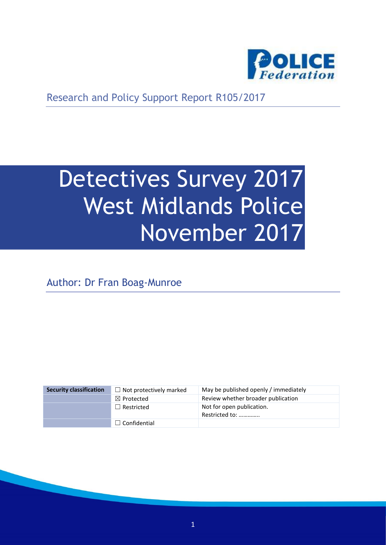

Research and Policy Support Report R105/2017

# Detectives Survey 2017 West Midlands Police November 2017

Author: Dr Fran Boag-Munroe

| <b>Security classification</b> | $\Box$ Not protectively marked | May be published openly / immediately       |
|--------------------------------|--------------------------------|---------------------------------------------|
|                                | $\boxtimes$ Protected          | Review whether broader publication          |
|                                | $\Box$ Restricted              | Not for open publication.<br>Restricted to: |
|                                | $\Box$ Confidential            |                                             |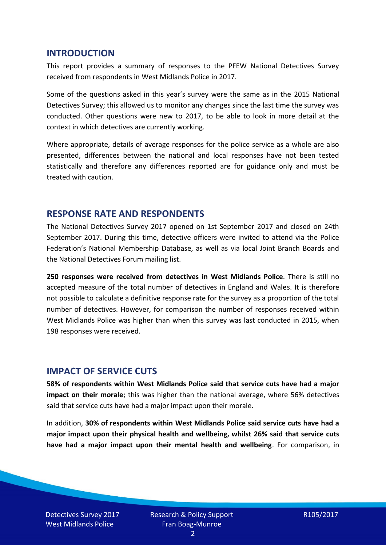#### **INTRODUCTION**

This report provides a summary of responses to the PFEW National Detectives Survey received from respondents in West Midlands Police in 2017.

Some of the questions asked in this year's survey were the same as in the 2015 National Detectives Survey; this allowed us to monitor any changes since the last time the survey was conducted. Other questions were new to 2017, to be able to look in more detail at the context in which detectives are currently working.

Where appropriate, details of average responses for the police service as a whole are also presented, differences between the national and local responses have not been tested statistically and therefore any differences reported are for guidance only and must be treated with caution.

#### **RESPONSE RATE AND RESPONDENTS**

The National Detectives Survey 2017 opened on 1st September 2017 and closed on 24th September 2017. During this time, detective officers were invited to attend via the Police Federation's National Membership Database, as well as via local Joint Branch Boards and the National Detectives Forum mailing list.

**250 responses were received from detectives in West Midlands Police**. There is still no accepted measure of the total number of detectives in England and Wales. It is therefore not possible to calculate a definitive response rate for the survey as a proportion of the total number of detectives. However, for comparison the number of responses received within West Midlands Police was higher than when this survey was last conducted in 2015, when 198 responses were received.

#### **IMPACT OF SERVICE CUTS**

**58% of respondents within West Midlands Police said that service cuts have had a major impact on their morale**; this was higher than the national average, where 56% detectives said that service cuts have had a major impact upon their morale.

In addition, **30% of respondents within West Midlands Police said service cuts have had a major impact upon their physical health and wellbeing, whilst 26% said that service cuts have had a major impact upon their mental health and wellbeing**. For comparison, in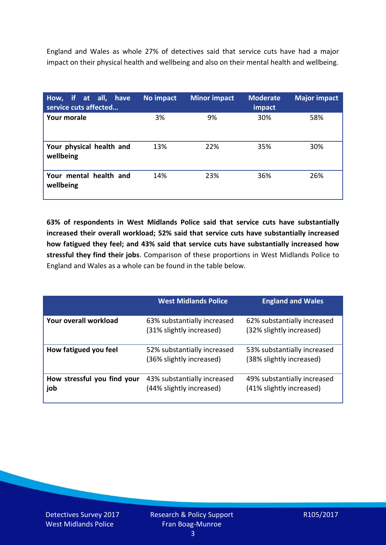England and Wales as whole 27% of detectives said that service cuts have had a major impact on their physical health and wellbeing and also on their mental health and wellbeing.

| How, if at all, have<br>service cuts affected | No impact | <b>Minor impact</b> | <b>Moderate</b><br>impact | <b>Major impact</b> |
|-----------------------------------------------|-----------|---------------------|---------------------------|---------------------|
| <b>Your morale</b>                            | 3%        | 9%                  | 30%                       | 58%                 |
| Your physical health and<br>wellbeing         | 13%       | 22%                 | 35%                       | 30%                 |
| Your mental health and<br>wellbeing           | 14%       | 23%                 | 36%                       | 26%                 |

**63% of respondents in West Midlands Police said that service cuts have substantially increased their overall workload; 52% said that service cuts have substantially increased how fatigued they feel; and 43% said that service cuts have substantially increased how stressful they find their jobs**. Comparison of these proportions in West Midlands Police to England and Wales as a whole can be found in the table below.

|                                    | <b>West Midlands Police</b>                             | <b>England and Wales</b>                                |
|------------------------------------|---------------------------------------------------------|---------------------------------------------------------|
| Your overall workload              | 63% substantially increased<br>(31% slightly increased) | 62% substantially increased<br>(32% slightly increased) |
| How fatigued you feel              | 52% substantially increased<br>(36% slightly increased) | 53% substantially increased<br>(38% slightly increased) |
| How stressful you find your<br>job | 43% substantially increased<br>(44% slightly increased) | 49% substantially increased<br>(41% slightly increased) |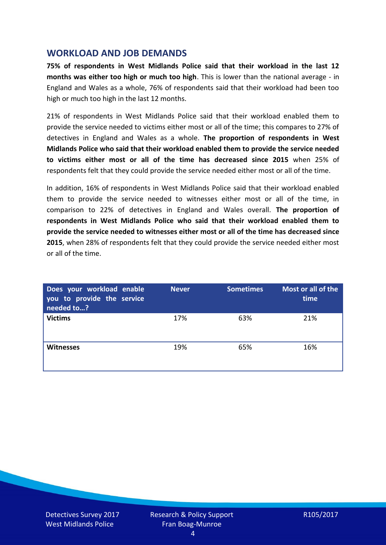## **WORKLOAD AND JOB DEMANDS**

**75% of respondents in West Midlands Police said that their workload in the last 12 months was either too high or much too high**. This is lower than the national average - in England and Wales as a whole, 76% of respondents said that their workload had been too high or much too high in the last 12 months.

21% of respondents in West Midlands Police said that their workload enabled them to provide the service needed to victims either most or all of the time; this compares to 27% of detectives in England and Wales as a whole. **The proportion of respondents in West Midlands Police who said that their workload enabled them to provide the service needed to victims either most or all of the time has decreased since 2015** when 25% of respondents felt that they could provide the service needed either most or all of the time.

In addition, 16% of respondents in West Midlands Police said that their workload enabled them to provide the service needed to witnesses either most or all of the time, in comparison to 22% of detectives in England and Wales overall. **The proportion of respondents in West Midlands Police who said that their workload enabled them to provide the service needed to witnesses either most or all of the time has decreased since 2015**, when 28% of respondents felt that they could provide the service needed either most or all of the time.

| Does your workload enable<br>you to provide the service<br>needed to? | <b>Never</b> | <b>Sometimes</b> | Most or all of the<br>time |
|-----------------------------------------------------------------------|--------------|------------------|----------------------------|
| <b>Victims</b>                                                        | 17%          | 63%              | 21%                        |
| <b>Witnesses</b>                                                      | 19%          | 65%              | 16%                        |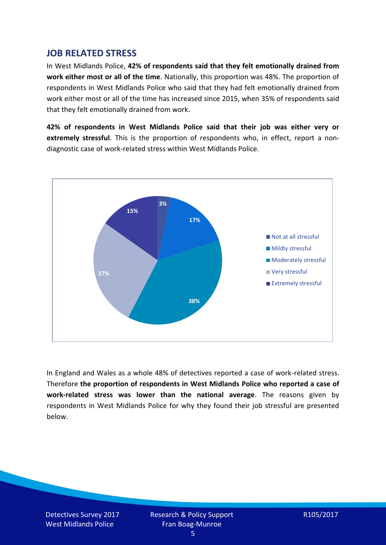## **JOB RELATED STRESS**

In West Midlands Police, **42% of respondents said that they felt emotionally drained from work either most or all of the time**. Nationally, this proportion was 48%. The proportion of respondents in West Midlands Police who said that they had felt emotionally drained from work either most or all of the time has increased since 2015, when 35% of respondents said that they felt emotionally drained from work.

**42% of respondents in West Midlands Police said that their job was either very or extremely stressful**. This is the proportion of respondents who, in effect, report a nondiagnostic case of work-related stress within West Midlands Police.



In England and Wales as a whole 48% of detectives reported a case of work-related stress. Therefore **the proportion of respondents in West Midlands Police who reported a case of work-related stress was lower than the national average**. The reasons given by respondents in West Midlands Police for why they found their job stressful are presented below.

Detectives Survey 2017 West Midlands Police

Research & Policy Support Fran Boag-Munroe

R105/2017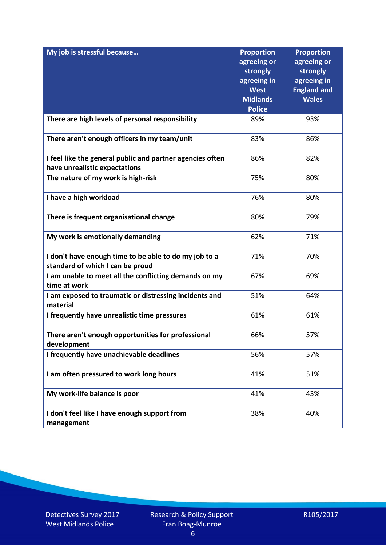| My job is stressful because                                                                | <b>Proportion</b><br>agreeing or<br>strongly<br>agreeing in<br><b>West</b><br><b>Midlands</b><br><b>Police</b> | <b>Proportion</b><br>agreeing or<br>strongly<br>agreeing in<br><b>England and</b><br><b>Wales</b> |
|--------------------------------------------------------------------------------------------|----------------------------------------------------------------------------------------------------------------|---------------------------------------------------------------------------------------------------|
| There are high levels of personal responsibility                                           | 89%                                                                                                            | 93%                                                                                               |
| There aren't enough officers in my team/unit                                               | 83%                                                                                                            | 86%                                                                                               |
| I feel like the general public and partner agencies often<br>have unrealistic expectations | 86%                                                                                                            | 82%                                                                                               |
| The nature of my work is high-risk                                                         | 75%                                                                                                            | 80%                                                                                               |
| I have a high workload                                                                     | 76%                                                                                                            | 80%                                                                                               |
| There is frequent organisational change                                                    | 80%                                                                                                            | 79%                                                                                               |
| My work is emotionally demanding                                                           | 62%                                                                                                            | 71%                                                                                               |
| I don't have enough time to be able to do my job to a<br>standard of which I can be proud  | 71%                                                                                                            | 70%                                                                                               |
| I am unable to meet all the conflicting demands on my<br>time at work                      | 67%                                                                                                            | 69%                                                                                               |
| I am exposed to traumatic or distressing incidents and<br>material                         | 51%                                                                                                            | 64%                                                                                               |
| I frequently have unrealistic time pressures                                               | 61%                                                                                                            | 61%                                                                                               |
| There aren't enough opportunities for professional<br>development                          | 66%                                                                                                            | 57%                                                                                               |
| I frequently have unachievable deadlines                                                   | 56%                                                                                                            | 57%                                                                                               |
| I am often pressured to work long hours                                                    | 41%                                                                                                            | 51%                                                                                               |
| My work-life balance is poor                                                               | 41%                                                                                                            | 43%                                                                                               |
| I don't feel like I have enough support from<br>management                                 | 38%                                                                                                            | 40%                                                                                               |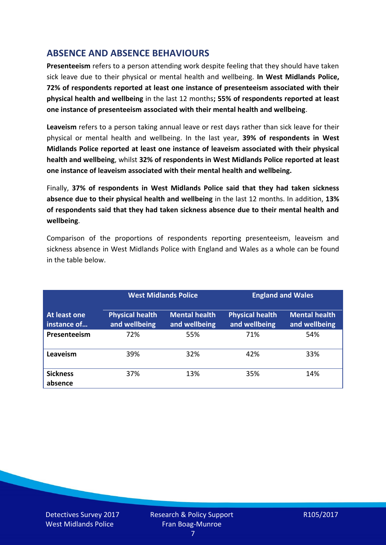# **ABSENCE AND ABSENCE BEHAVIOURS**

**Presenteeism** refers to a person attending work despite feeling that they should have taken sick leave due to their physical or mental health and wellbeing. **In West Midlands Police, 72% of respondents reported at least one instance of presenteeism associated with their physical health and wellbeing** in the last 12 months**; 55% of respondents reported at least one instance of presenteeism associated with their mental health and wellbeing**.

**Leaveism** refers to a person taking annual leave or rest days rather than sick leave for their physical or mental health and wellbeing. In the last year, **39% of respondents in West Midlands Police reported at least one instance of leaveism associated with their physical health and wellbeing**, whilst **32% of respondents in West Midlands Police reported at least one instance of leaveism associated with their mental health and wellbeing.**

Finally, **37% of respondents in West Midlands Police said that they had taken sickness absence due to their physical health and wellbeing** in the last 12 months. In addition, **13% of respondents said that they had taken sickness absence due to their mental health and wellbeing**.

Comparison of the proportions of respondents reporting presenteeism, leaveism and sickness absence in West Midlands Police with England and Wales as a whole can be found in the table below.

|                             |                                         | <b>West Midlands Police</b>           |                                         | <b>England and Wales</b>              |
|-----------------------------|-----------------------------------------|---------------------------------------|-----------------------------------------|---------------------------------------|
| At least one<br>instance of | <b>Physical health</b><br>and wellbeing | <b>Mental health</b><br>and wellbeing | <b>Physical health</b><br>and wellbeing | <b>Mental health</b><br>and wellbeing |
| Presenteeism                | 72%                                     | 55%                                   | 71%                                     | 54%                                   |
| Leaveism                    | 39%                                     | 32%                                   | 42%                                     | 33%                                   |
| <b>Sickness</b><br>absence  | 37%                                     | 13%                                   | 35%                                     | 14%                                   |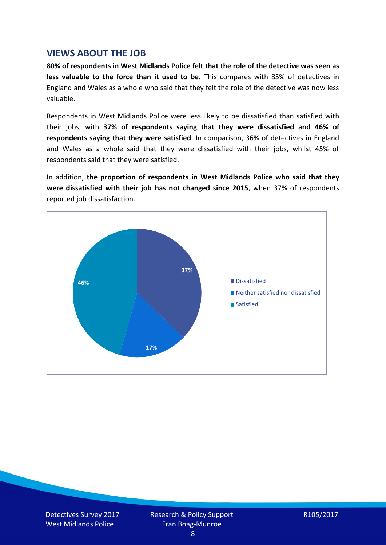## **VIEWS ABOUT THE JOB**

**80% of respondents in West Midlands Police felt that the role of the detective was seen as less valuable to the force than it used to be.** This compares with 85% of detectives in England and Wales as a whole who said that they felt the role of the detective was now less valuable.

Respondents in West Midlands Police were less likely to be dissatisfied than satisfied with their jobs, with **37% of respondents saying that they were dissatisfied and 46% of respondents saying that they were satisfied**. In comparison, 36% of detectives in England and Wales as a whole said that they were dissatisfied with their jobs, whilst 45% of respondents said that they were satisfied.

In addition, **the proportion of respondents in West Midlands Police who said that they were dissatisfied with their job has not changed since 2015**, when 37% of respondents reported job dissatisfaction.

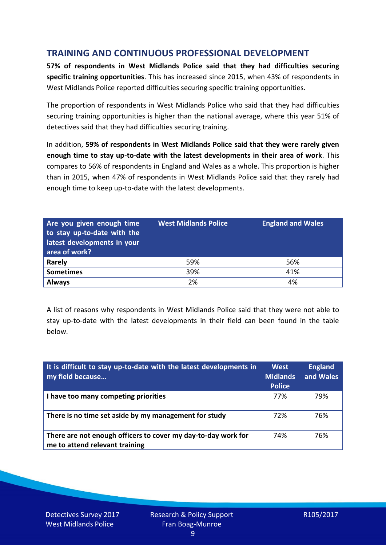# **TRAINING AND CONTINUOUS PROFESSIONAL DEVELOPMENT**

**57% of respondents in West Midlands Police said that they had difficulties securing specific training opportunities**. This has increased since 2015, when 43% of respondents in West Midlands Police reported difficulties securing specific training opportunities.

The proportion of respondents in West Midlands Police who said that they had difficulties securing training opportunities is higher than the national average, where this year 51% of detectives said that they had difficulties securing training.

In addition, **59% of respondents in West Midlands Police said that they were rarely given enough time to stay up-to-date with the latest developments in their area of work**. This compares to 56% of respondents in England and Wales as a whole. This proportion is higher than in 2015, when 47% of respondents in West Midlands Police said that they rarely had enough time to keep up-to-date with the latest developments.

| Are you given enough time<br>to stay up-to-date with the<br>latest developments in your<br>area of work? | <b>West Midlands Police</b> | <b>England and Wales</b> |
|----------------------------------------------------------------------------------------------------------|-----------------------------|--------------------------|
| <b>Rarely</b>                                                                                            | 59%                         | 56%                      |
| <b>Sometimes</b>                                                                                         | 39%                         | 41%                      |
| <b>Always</b>                                                                                            | 2%                          | 4%                       |

A list of reasons why respondents in West Midlands Police said that they were not able to stay up-to-date with the latest developments in their field can been found in the table below.

| It is difficult to stay up-to-date with the latest developments in<br>my field because          | <b>West</b><br><b>Midlands</b><br><b>Police</b> | <b>England</b><br>and Wales |
|-------------------------------------------------------------------------------------------------|-------------------------------------------------|-----------------------------|
| I have too many competing priorities                                                            | 77%                                             | 79%                         |
| There is no time set aside by my management for study                                           | 72%                                             | 76%                         |
| There are not enough officers to cover my day-to-day work for<br>me to attend relevant training | 74%                                             | 76%                         |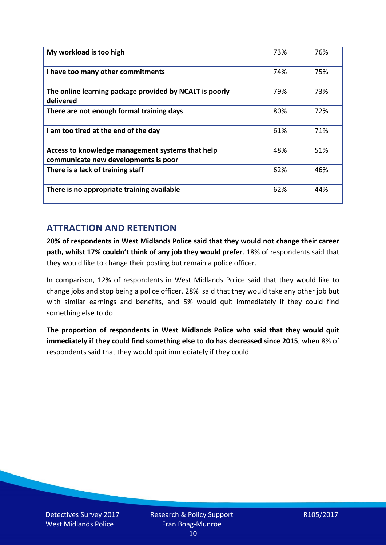| My workload is too high                                                                  | 73% | 76% |
|------------------------------------------------------------------------------------------|-----|-----|
| I have too many other commitments                                                        | 74% | 75% |
| The online learning package provided by NCALT is poorly<br>delivered                     | 79% | 73% |
| There are not enough formal training days                                                | 80% | 72% |
| I am too tired at the end of the day                                                     | 61% | 71% |
| Access to knowledge management systems that help<br>communicate new developments is poor | 48% | 51% |
| There is a lack of training staff                                                        | 62% | 46% |
| There is no appropriate training available                                               | 62% | 44% |

# **ATTRACTION AND RETENTION**

**20% of respondents in West Midlands Police said that they would not change their career path, whilst 17% couldn't think of any job they would prefer**. 18% of respondents said that they would like to change their posting but remain a police officer.

In comparison, 12% of respondents in West Midlands Police said that they would like to change jobs and stop being a police officer, 28% said that they would take any other job but with similar earnings and benefits, and 5% would quit immediately if they could find something else to do.

**The proportion of respondents in West Midlands Police who said that they would quit immediately if they could find something else to do has decreased since 2015**, when 8% of respondents said that they would quit immediately if they could.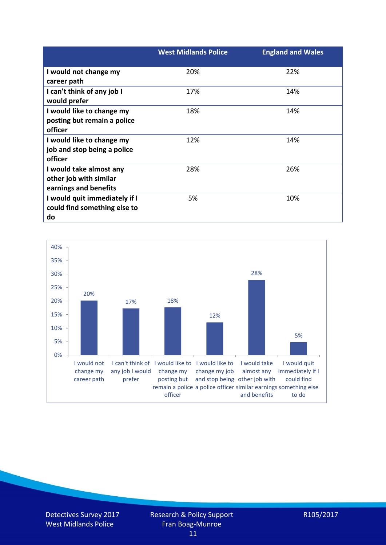|                               | <b>West Midlands Police</b> | <b>England and Wales</b> |
|-------------------------------|-----------------------------|--------------------------|
| I would not change my         | 20%                         | 22%                      |
| career path                   |                             |                          |
| I can't think of any job I    | 17%                         | 14%                      |
| would prefer                  |                             |                          |
| I would like to change my     | 18%                         | 14%                      |
| posting but remain a police   |                             |                          |
| officer                       |                             |                          |
| I would like to change my     | 12%                         | 14%                      |
| job and stop being a police   |                             |                          |
| officer                       |                             |                          |
| I would take almost any       | 28%                         | 26%                      |
| other job with similar        |                             |                          |
| earnings and benefits         |                             |                          |
| I would quit immediately if I | 5%                          | 10%                      |
| could find something else to  |                             |                          |
| do                            |                             |                          |



Detectives Survey 2017 West Midlands Police

R105/2017